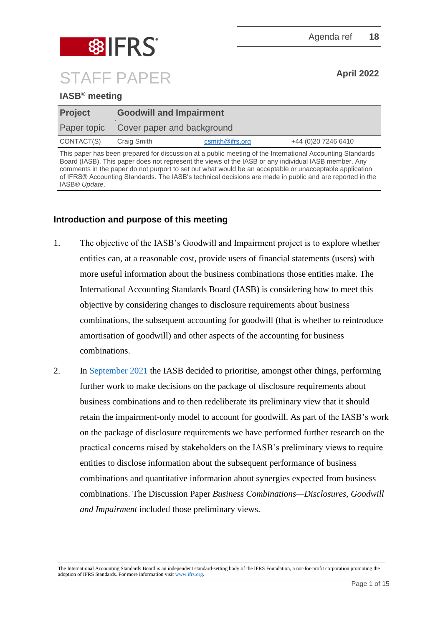

# **IASB® meeting**

| <b>Project</b> | <b>Goodwill and Impairment</b>         |                    |                      |  |
|----------------|----------------------------------------|--------------------|----------------------|--|
|                | Paper topic Cover paper and background |                    |                      |  |
| CONTACT(S)     | Craig Smith                            | $c$ smith@ifrs.org | +44 (0) 20 7246 6410 |  |

This paper has been prepared for discussion at a public meeting of the International Accounting Standards Board (IASB). This paper does not represent the views of the IASB or any individual IASB member. Any comments in the paper do not purport to set out what would be an acceptable or unacceptable application of IFRS® Accounting Standards. The IASB's technical decisions are made in public and are reported in the IASB® *Update*.

# **Introduction and purpose of this meeting**

- 1. The objective of the IASB's Goodwill and Impairment project is to explore whether entities can, at a reasonable cost, provide users of financial statements (users) with more useful information about the business combinations those entities make. The International Accounting Standards Board (IASB) is considering how to meet this objective by considering changes to disclosure requirements about business combinations, the subsequent accounting for goodwill (that is whether to reintroduce amortisation of goodwill) and other aspects of the accounting for business combinations.
- 2. In [September 2021](https://www.ifrs.org/news-and-events/updates/iasb/2021/iasb-update-september-2021/#5) the IASB decided to prioritise, amongst other things, performing further work to make decisions on the package of disclosure requirements about business combinations and to then redeliberate its preliminary view that it should retain the impairment-only model to account for goodwill. As part of the IASB's work on the package of disclosure requirements we have performed further research on the practical concerns raised by stakeholders on the IASB's preliminary views to require entities to disclose information about the subsequent performance of business combinations and quantitative information about synergies expected from business combinations. The Discussion Paper *Business Combinations—Disclosures, Goodwill and Impairment* included those preliminary views.

The International Accounting Standards Board is an independent standard-setting body of the IFRS Foundation, a not-for-profit corporation promoting the adoption of IFRS Standards. For more information visit [www.ifrs.org.](http://www.ifrs.org/)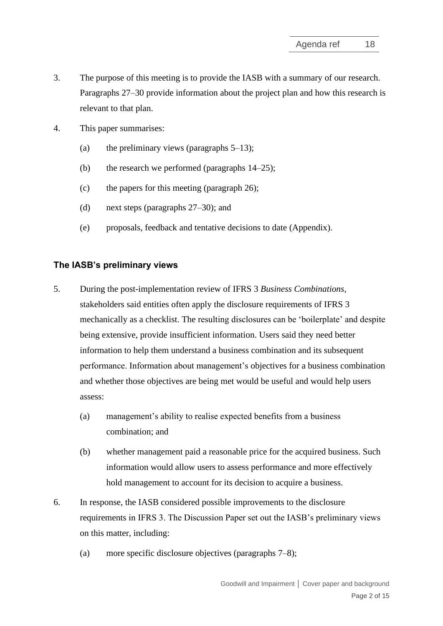- 3. The purpose of this meeting is to provide the IASB with a summary of our research. Paragraphs [27–](#page-7-0)[30](#page-8-0) provide information about the project plan and how this research is relevant to that plan.
- 4. This paper summarises:
	- (a) the preliminary views (paragraphs  $5-13$ );
	- (b) the research we performed (paragraphs [14](#page-4-1)[–25\)](#page-7-1);
	- (c) the papers for this meeting (paragraph [26\)](#page-7-2);
	- (d) next steps (paragraphs [27](#page-7-0)[–30\)](#page-8-0); and
	- (e) proposals, feedback and tentative decisions to date (Appendix).

#### **The IASB's preliminary views**

- <span id="page-1-0"></span>5. During the post-implementation review of IFRS 3 *Business Combinations*, stakeholders said entities often apply the disclosure requirements of IFRS 3 mechanically as a checklist. The resulting disclosures can be 'boilerplate' and despite being extensive, provide insufficient information. Users said they need better information to help them understand a business combination and its subsequent performance. Information about management's objectives for a business combination and whether those objectives are being met would be useful and would help users assess:
	- (a) management's ability to realise expected benefits from a business combination; and
	- (b) whether management paid a reasonable price for the acquired business. Such information would allow users to assess performance and more effectively hold management to account for its decision to acquire a business.
- 6. In response, the IASB considered possible improvements to the disclosure requirements in IFRS 3. The Discussion Paper set out the IASB's preliminary views on this matter, including:
	- (a) more specific disclosure objectives (paragraphs [7–](#page-2-0)[8\)](#page-2-1);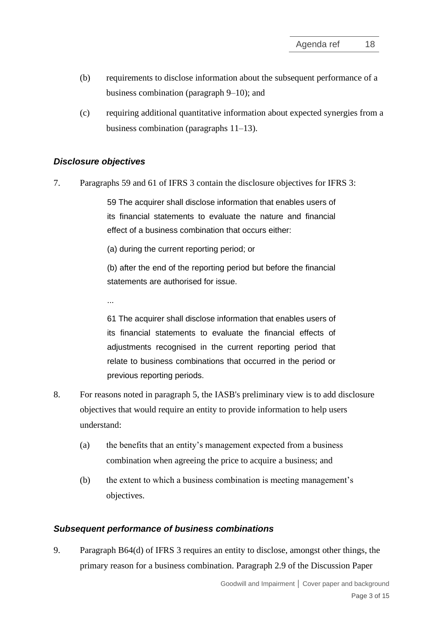- (b) requirements to disclose information about the subsequent performance of a business combination (paragraph [9–](#page-2-2)[10\)](#page-3-0); and
- (c) requiring additional quantitative information about expected synergies from a business combination (paragraphs [11](#page-3-1)[–13\)](#page-4-0).

# *Disclosure objectives*

<span id="page-2-0"></span>7. Paragraphs 59 and 61 of IFRS 3 contain the disclosure objectives for IFRS 3:

59 The acquirer shall disclose information that enables users of its financial statements to evaluate the nature and financial effect of a business combination that occurs either:

(a) during the current reporting period; or

(b) after the end of the reporting period but before the financial statements are authorised for issue.

...

61 The acquirer shall disclose information that enables users of its financial statements to evaluate the financial effects of adjustments recognised in the current reporting period that relate to business combinations that occurred in the period or previous reporting periods.

- <span id="page-2-1"></span>8. For reasons noted in paragraph [5,](#page-1-0) the IASB's preliminary view is to add disclosure objectives that would require an entity to provide information to help users understand:
	- (a) the benefits that an entity's management expected from a business combination when agreeing the price to acquire a business; and
	- (b) the extent to which a business combination is meeting management's objectives.

# *Subsequent performance of business combinations*

<span id="page-2-2"></span>9. Paragraph B64(d) of IFRS 3 requires an entity to disclose, amongst other things, the primary reason for a business combination. Paragraph 2.9 of the Discussion Paper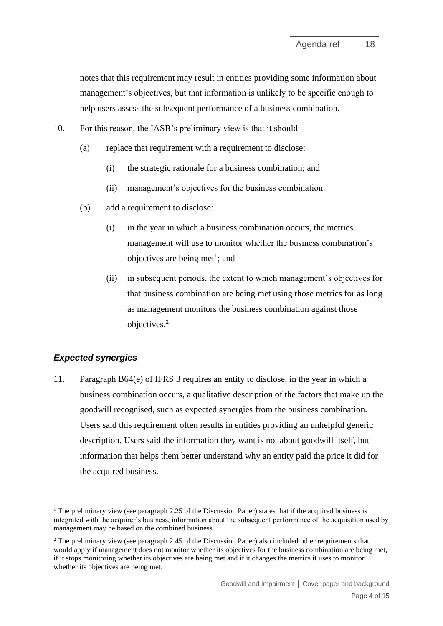notes that this requirement may result in entities providing some information about management's objectives, but that information is unlikely to be specific enough to help users assess the subsequent performance of a business combination.

<span id="page-3-0"></span>10. For this reason, the IASB's preliminary view is that it should:

- (a) replace that requirement with a requirement to disclose:
	- (i) the strategic rationale for a business combination; and
	- (ii) management's objectives for the business combination.
- (b) add a requirement to disclose:
	- (i) in the year in which a business combination occurs, the metrics management will use to monitor whether the business combination's objectives are being met<sup>1</sup>; and
	- (ii) in subsequent periods, the extent to which management's objectives for that business combination are being met using those metrics for as long as management monitors the business combination against those objectives.<sup>2</sup>

# *Expected synergies*

<span id="page-3-1"></span>11. Paragraph B64(e) of IFRS 3 requires an entity to disclose, in the year in which a business combination occurs, a qualitative description of the factors that make up the goodwill recognised, such as expected synergies from the business combination. Users said this requirement often results in entities providing an unhelpful generic description. Users said the information they want is not about goodwill itself, but information that helps them better understand why an entity paid the price it did for the acquired business.

<sup>&</sup>lt;sup>1</sup> The preliminary view (see paragraph 2.25 of the Discussion Paper) states that if the acquired business is integrated with the acquirer's business, information about the subsequent performance of the acquisition used by management may be based on the combined business.

<sup>&</sup>lt;sup>2</sup> The preliminary view (see paragraph 2.45 of the Discussion Paper) also included other requirements that would apply if management does not monitor whether its objectives for the business combination are being met, if it stops monitoring whether its objectives are being met and if it changes the metrics it uses to monitor whether its objectives are being met.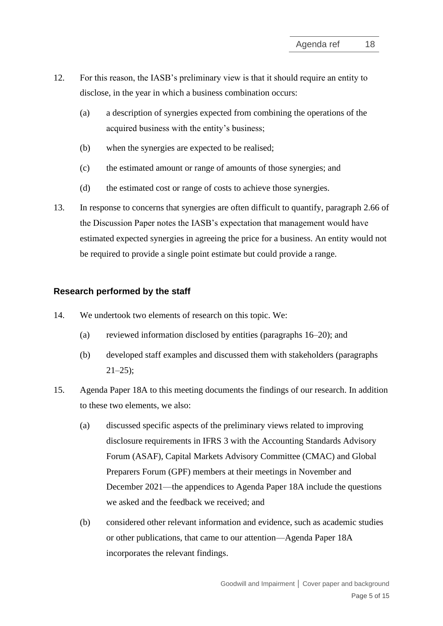- 12. For this reason, the IASB's preliminary view is that it should require an entity to disclose, in the year in which a business combination occurs:
	- (a) a description of synergies expected from combining the operations of the acquired business with the entity's business;
	- (b) when the synergies are expected to be realised;
	- (c) the estimated amount or range of amounts of those synergies; and
	- (d) the estimated cost or range of costs to achieve those synergies.
- <span id="page-4-0"></span>13. In response to concerns that synergies are often difficult to quantify, paragraph 2.66 of the Discussion Paper notes the IASB's expectation that management would have estimated expected synergies in agreeing the price for a business. An entity would not be required to provide a single point estimate but could provide a range.

#### **Research performed by the staff**

- <span id="page-4-1"></span>14. We undertook two elements of research on this topic. We:
	- (a) reviewed information disclosed by entities (paragraphs [16](#page-5-0)[–20\)](#page-6-0); and
	- (b) developed staff examples and discussed them with stakeholders (paragraphs  $21-25$ ;
- 15. Agenda Paper 18A to this meeting documents the findings of our research. In addition to these two elements, we also:
	- (a) discussed specific aspects of the preliminary views related to improving disclosure requirements in IFRS 3 with the Accounting Standards Advisory Forum (ASAF), Capital Markets Advisory Committee (CMAC) and Global Preparers Forum (GPF) members at their meetings in November and December 2021—the appendices to Agenda Paper 18A include the questions we asked and the feedback we received; and
	- (b) considered other relevant information and evidence, such as academic studies or other publications, that came to our attention—Agenda Paper 18A incorporates the relevant findings.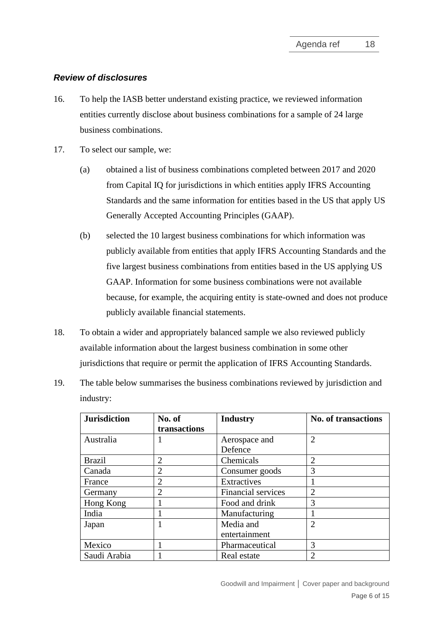#### *Review of disclosures*

- <span id="page-5-0"></span>16. To help the IASB better understand existing practice, we reviewed information entities currently disclose about business combinations for a sample of 24 large business combinations.
- 17. To select our sample, we:
	- (a) obtained a list of business combinations completed between 2017 and 2020 from Capital IQ for jurisdictions in which entities apply IFRS Accounting Standards and the same information for entities based in the US that apply US Generally Accepted Accounting Principles (GAAP).
	- (b) selected the 10 largest business combinations for which information was publicly available from entities that apply IFRS Accounting Standards and the five largest business combinations from entities based in the US applying US GAAP. Information for some business combinations were not available because, for example, the acquiring entity is state-owned and does not produce publicly available financial statements.
- 18. To obtain a wider and appropriately balanced sample we also reviewed publicly available information about the largest business combination in some other jurisdictions that require or permit the application of IFRS Accounting Standards.
- 19. The table below summarises the business combinations reviewed by jurisdiction and industry:

| <b>Jurisdiction</b> | No. of         | <b>Industry</b>           | <b>No. of transactions</b> |
|---------------------|----------------|---------------------------|----------------------------|
|                     | transactions   |                           |                            |
| Australia           |                | Aerospace and             | $\overline{2}$             |
|                     |                | Defence                   |                            |
| <b>Brazil</b>       | $\overline{2}$ | Chemicals                 | $\overline{2}$             |
| Canada              | $\overline{2}$ | Consumer goods            | 3                          |
| France              | $\overline{2}$ | Extractives               |                            |
| Germany             | $\overline{2}$ | <b>Financial services</b> | $\overline{2}$             |
| Hong Kong           |                | Food and drink            | 3                          |
| India               |                | Manufacturing             |                            |
| Japan               |                | Media and                 | $\overline{2}$             |
|                     |                | entertainment             |                            |
| Mexico              |                | Pharmaceutical            | 3                          |
| Saudi Arabia        |                | Real estate               | $\overline{2}$             |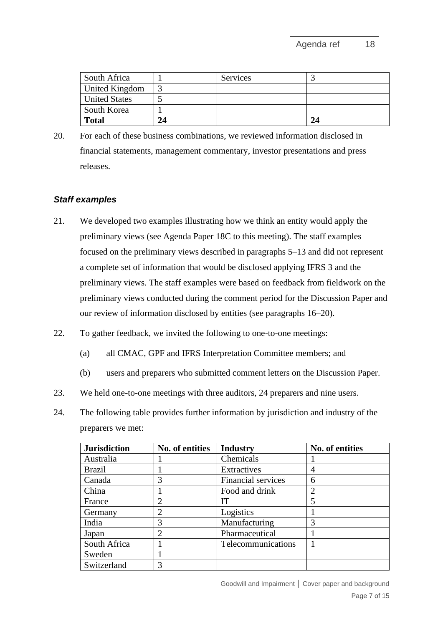| South Africa         |    | <b>Services</b> |    |
|----------------------|----|-----------------|----|
| United Kingdom       |    |                 |    |
| <b>United States</b> |    |                 |    |
| South Korea          |    |                 |    |
| Total                | 24 |                 | 24 |

<span id="page-6-0"></span>20. For each of these business combinations, we reviewed information disclosed in financial statements, management commentary, investor presentations and press releases.

#### *Staff examples*

- <span id="page-6-1"></span>21. We developed two examples illustrating how we think an entity would apply the preliminary views (see Agenda Paper 18C to this meeting). The staff examples focused on the preliminary views described in paragraphs [5–](#page-1-0)[13](#page-4-0) and did not represent a complete set of information that would be disclosed applying IFRS 3 and the preliminary views. The staff examples were based on feedback from fieldwork on the preliminary views conducted during the comment period for the Discussion Paper and our review of information disclosed by entities (see paragraphs [16–](#page-5-0)[20\)](#page-6-0).
- 22. To gather feedback, we invited the following to one-to-one meetings:
	- (a) all CMAC, GPF and IFRS Interpretation Committee members; and
	- (b) users and preparers who submitted comment letters on the Discussion Paper.
- 23. We held one-to-one meetings with three auditors, 24 preparers and nine users.
- 24. The following table provides further information by jurisdiction and industry of the preparers we met:

| <b>Jurisdiction</b> | No. of entities             | <b>Industry</b>    | No. of entities |
|---------------------|-----------------------------|--------------------|-----------------|
| Australia           |                             | Chemicals          |                 |
| <b>Brazil</b>       |                             | Extractives        | 4               |
| Canada              | 3                           | Financial services | 6               |
| China               |                             | Food and drink     | $\overline{2}$  |
| France              | 2                           | IТ                 | 5               |
| Germany             | $\mathcal{D}_{\mathcal{L}}$ | Logistics          |                 |
| India               | 3                           | Manufacturing      | 3               |
| Japan               | $\overline{2}$              | Pharmaceutical     |                 |
| South Africa        |                             | Telecommunications |                 |
| Sweden              |                             |                    |                 |
| Switzerland         | 3                           |                    |                 |

Goodwill and Impairment **│** Cover paper and background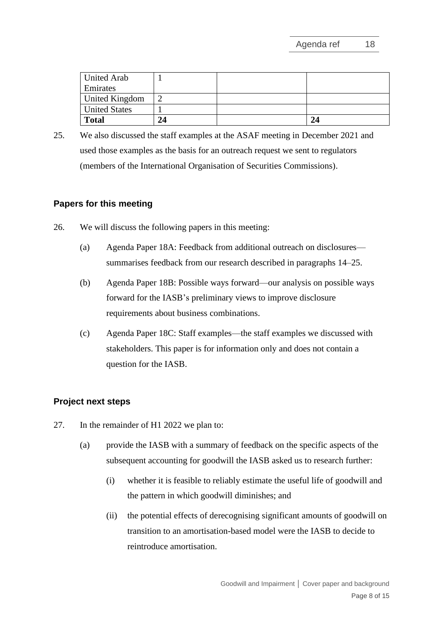| <b>United Arab</b>   |    |    |
|----------------------|----|----|
| Emirates             |    |    |
| United Kingdom       |    |    |
| <b>United States</b> |    |    |
| <b>Total</b>         | 24 | 24 |

<span id="page-7-1"></span>25. We also discussed the staff examples at the ASAF meeting in December 2021 and used those examples as the basis for an outreach request we sent to regulators (members of the International Organisation of Securities Commissions).

# **Papers for this meeting**

- <span id="page-7-2"></span>26. We will discuss the following papers in this meeting:
	- (a) Agenda Paper 18A: Feedback from additional outreach on disclosures summarises feedback from our research described in paragraphs [14](#page-4-1)[–25.](#page-7-1)
	- (b) Agenda Paper 18B: Possible ways forward—our analysis on possible ways forward for the IASB's preliminary views to improve disclosure requirements about business combinations.
	- (c) Agenda Paper 18C: Staff examples—the staff examples we discussed with stakeholders. This paper is for information only and does not contain a question for the IASB.

# **Project next steps**

- <span id="page-7-0"></span>27. In the remainder of H1 2022 we plan to:
	- (a) provide the IASB with a summary of feedback on the specific aspects of the subsequent accounting for goodwill the IASB asked us to research further:
		- (i) whether it is feasible to reliably estimate the useful life of goodwill and the pattern in which goodwill diminishes; and
		- (ii) the potential effects of derecognising significant amounts of goodwill on transition to an amortisation-based model were the IASB to decide to reintroduce amortisation.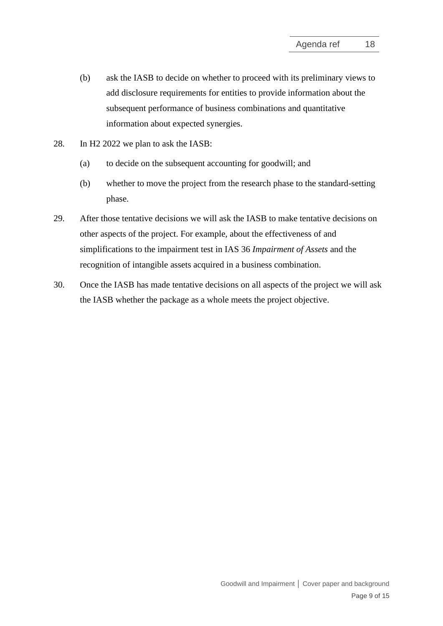- (b) ask the IASB to decide on whether to proceed with its preliminary views to add disclosure requirements for entities to provide information about the subsequent performance of business combinations and quantitative information about expected synergies.
- 28. In H2 2022 we plan to ask the IASB:
	- (a) to decide on the subsequent accounting for goodwill; and
	- (b) whether to move the project from the research phase to the standard-setting phase.
- 29. After those tentative decisions we will ask the IASB to make tentative decisions on other aspects of the project. For example, about the effectiveness of and simplifications to the impairment test in IAS 36 *Impairment of Assets* and the recognition of intangible assets acquired in a business combination.
- <span id="page-8-0"></span>30. Once the IASB has made tentative decisions on all aspects of the project we will ask the IASB whether the package as a whole meets the project objective.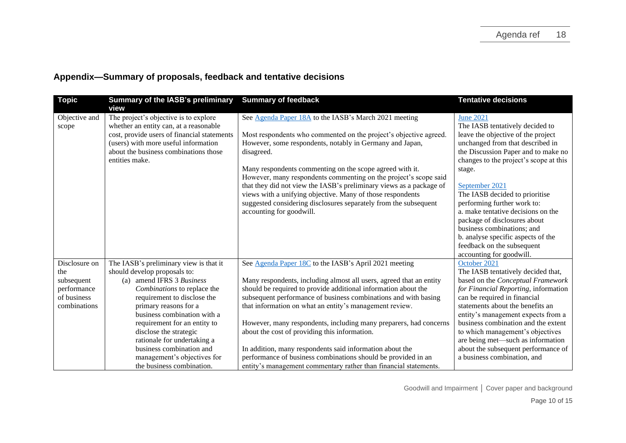| <b>Topic</b>                                                                     | <b>Summary of the IASB's preliminary</b><br>view                                                                                                                                                                                                                                                                                                                                                           | <b>Summary of feedback</b>                                                                                                                                                                                                                                                                                                                                                                                                                                                                                                                                                                                                                          | <b>Tentative decisions</b>                                                                                                                                                                                                                                                                                                                                                                                                                                                                                      |
|----------------------------------------------------------------------------------|------------------------------------------------------------------------------------------------------------------------------------------------------------------------------------------------------------------------------------------------------------------------------------------------------------------------------------------------------------------------------------------------------------|-----------------------------------------------------------------------------------------------------------------------------------------------------------------------------------------------------------------------------------------------------------------------------------------------------------------------------------------------------------------------------------------------------------------------------------------------------------------------------------------------------------------------------------------------------------------------------------------------------------------------------------------------------|-----------------------------------------------------------------------------------------------------------------------------------------------------------------------------------------------------------------------------------------------------------------------------------------------------------------------------------------------------------------------------------------------------------------------------------------------------------------------------------------------------------------|
| Objective and<br>scope                                                           | The project's objective is to explore<br>whether an entity can, at a reasonable<br>cost, provide users of financial statements<br>(users) with more useful information<br>about the business combinations those<br>entities make.                                                                                                                                                                          | See Agenda Paper 18A to the IASB's March 2021 meeting<br>Most respondents who commented on the project's objective agreed.<br>However, some respondents, notably in Germany and Japan,<br>disagreed.<br>Many respondents commenting on the scope agreed with it.<br>However, many respondents commenting on the project's scope said<br>that they did not view the IASB's preliminary views as a package of<br>views with a unifying objective. Many of those respondents<br>suggested considering disclosures separately from the subsequent<br>accounting for goodwill.                                                                           | <b>June 2021</b><br>The IASB tentatively decided to<br>leave the objective of the project<br>unchanged from that described in<br>the Discussion Paper and to make no<br>changes to the project's scope at this<br>stage.<br>September 2021<br>The IASB decided to prioritise<br>performing further work to:<br>a. make tentative decisions on the<br>package of disclosures about<br>business combinations; and<br>b. analyse specific aspects of the<br>feedback on the subsequent<br>accounting for goodwill. |
| Disclosure on<br>the<br>subsequent<br>performance<br>of business<br>combinations | The IASB's preliminary view is that it<br>should develop proposals to:<br>(a) amend IFRS 3 Business<br>Combinations to replace the<br>requirement to disclose the<br>primary reasons for a<br>business combination with a<br>requirement for an entity to<br>disclose the strategic<br>rationale for undertaking a<br>business combination and<br>management's objectives for<br>the business combination. | See Agenda Paper 18C to the IASB's April 2021 meeting<br>Many respondents, including almost all users, agreed that an entity<br>should be required to provide additional information about the<br>subsequent performance of business combinations and with basing<br>that information on what an entity's management review.<br>However, many respondents, including many preparers, had concerns<br>about the cost of providing this information.<br>In addition, many respondents said information about the<br>performance of business combinations should be provided in an<br>entity's management commentary rather than financial statements. | October 2021<br>The IASB tentatively decided that,<br>based on the Conceptual Framework<br>for Financial Reporting, information<br>can be required in financial<br>statements about the benefits an<br>entity's management expects from a<br>business combination and the extent<br>to which management's objectives<br>are being met-such as information<br>about the subsequent performance of<br>a business combination, and                                                                                 |

# **Appendix—Summary of proposals, feedback and tentative decisions**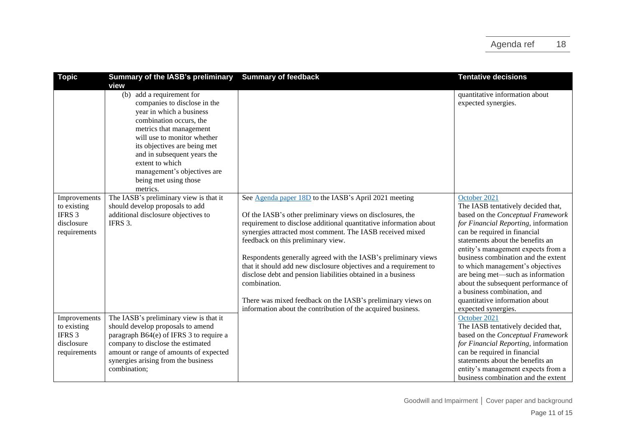| <b>Topic</b>                                                                   | Summary of the IASB's preliminary<br>view                                                                                                                                                                                                                                                                                           | <b>Summary of feedback</b>                                                                                                                                                                                                                                                                                                                                                                                                                                                                                                                                                                                                                       | <b>Tentative decisions</b>                                                                                                                                                                                                                                                                                                                                                                                                                                                               |
|--------------------------------------------------------------------------------|-------------------------------------------------------------------------------------------------------------------------------------------------------------------------------------------------------------------------------------------------------------------------------------------------------------------------------------|--------------------------------------------------------------------------------------------------------------------------------------------------------------------------------------------------------------------------------------------------------------------------------------------------------------------------------------------------------------------------------------------------------------------------------------------------------------------------------------------------------------------------------------------------------------------------------------------------------------------------------------------------|------------------------------------------------------------------------------------------------------------------------------------------------------------------------------------------------------------------------------------------------------------------------------------------------------------------------------------------------------------------------------------------------------------------------------------------------------------------------------------------|
|                                                                                | add a requirement for<br>(b)<br>companies to disclose in the<br>year in which a business<br>combination occurs, the<br>metrics that management<br>will use to monitor whether<br>its objectives are being met<br>and in subsequent years the<br>extent to which<br>management's objectives are<br>being met using those<br>metrics. |                                                                                                                                                                                                                                                                                                                                                                                                                                                                                                                                                                                                                                                  | quantitative information about<br>expected synergies.                                                                                                                                                                                                                                                                                                                                                                                                                                    |
| Improvements<br>to existing<br>IFRS 3<br>disclosure<br>requirements            | The IASB's preliminary view is that it<br>should develop proposals to add<br>additional disclosure objectives to<br>IFRS 3.                                                                                                                                                                                                         | See Agenda paper 18D to the IASB's April 2021 meeting<br>Of the IASB's other preliminary views on disclosures, the<br>requirement to disclose additional quantitative information about<br>synergies attracted most comment. The IASB received mixed<br>feedback on this preliminary view.<br>Respondents generally agreed with the IASB's preliminary views<br>that it should add new disclosure objectives and a requirement to<br>disclose debt and pension liabilities obtained in a business<br>combination.<br>There was mixed feedback on the IASB's preliminary views on<br>information about the contribution of the acquired business. | October 2021<br>The IASB tentatively decided that,<br>based on the Conceptual Framework<br>for Financial Reporting, information<br>can be required in financial<br>statements about the benefits an<br>entity's management expects from a<br>business combination and the extent<br>to which management's objectives<br>are being met-such as information<br>about the subsequent performance of<br>a business combination, and<br>quantitative information about<br>expected synergies. |
| Improvements<br>to existing<br>IFRS <sub>3</sub><br>disclosure<br>requirements | The IASB's preliminary view is that it<br>should develop proposals to amend<br>paragraph B64(e) of IFRS 3 to require a<br>company to disclose the estimated<br>amount or range of amounts of expected<br>synergies arising from the business<br>combination;                                                                        |                                                                                                                                                                                                                                                                                                                                                                                                                                                                                                                                                                                                                                                  | October 2021<br>The IASB tentatively decided that,<br>based on the Conceptual Framework<br>for Financial Reporting, information<br>can be required in financial<br>statements about the benefits an<br>entity's management expects from a<br>business combination and the extent                                                                                                                                                                                                         |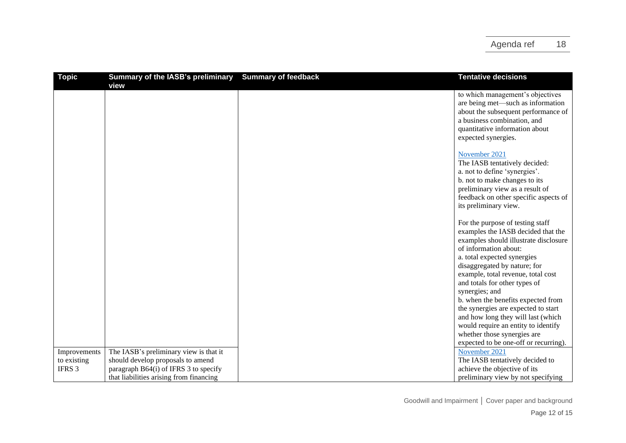| <b>Topic</b>      | <b>Summary of the IASB's preliminary</b> | <b>Summary of feedback</b> | <b>Tentative decisions</b>            |
|-------------------|------------------------------------------|----------------------------|---------------------------------------|
|                   | view                                     |                            |                                       |
|                   |                                          |                            | to which management's objectives      |
|                   |                                          |                            | are being met-such as information     |
|                   |                                          |                            | about the subsequent performance of   |
|                   |                                          |                            | a business combination, and           |
|                   |                                          |                            | quantitative information about        |
|                   |                                          |                            | expected synergies.                   |
|                   |                                          |                            | November 2021                         |
|                   |                                          |                            | The IASB tentatively decided:         |
|                   |                                          |                            | a. not to define 'synergies'.         |
|                   |                                          |                            | b. not to make changes to its         |
|                   |                                          |                            | preliminary view as a result of       |
|                   |                                          |                            | feedback on other specific aspects of |
|                   |                                          |                            | its preliminary view.                 |
|                   |                                          |                            |                                       |
|                   |                                          |                            | For the purpose of testing staff      |
|                   |                                          |                            | examples the IASB decided that the    |
|                   |                                          |                            | examples should illustrate disclosure |
|                   |                                          |                            | of information about:                 |
|                   |                                          |                            | a. total expected synergies           |
|                   |                                          |                            | disaggregated by nature; for          |
|                   |                                          |                            | example, total revenue, total cost    |
|                   |                                          |                            | and totals for other types of         |
|                   |                                          |                            | synergies; and                        |
|                   |                                          |                            | b. when the benefits expected from    |
|                   |                                          |                            | the synergies are expected to start   |
|                   |                                          |                            | and how long they will last (which    |
|                   |                                          |                            | would require an entity to identify   |
|                   |                                          |                            | whether those synergies are           |
|                   |                                          |                            | expected to be one-off or recurring). |
| Improvements      | The IASB's preliminary view is that it   |                            | November 2021                         |
| to existing       | should develop proposals to amend        |                            | The IASB tentatively decided to       |
| IFRS <sub>3</sub> | paragraph B64(i) of IFRS 3 to specify    |                            | achieve the objective of its          |
|                   | that liabilities arising from financing  |                            | preliminary view by not specifying    |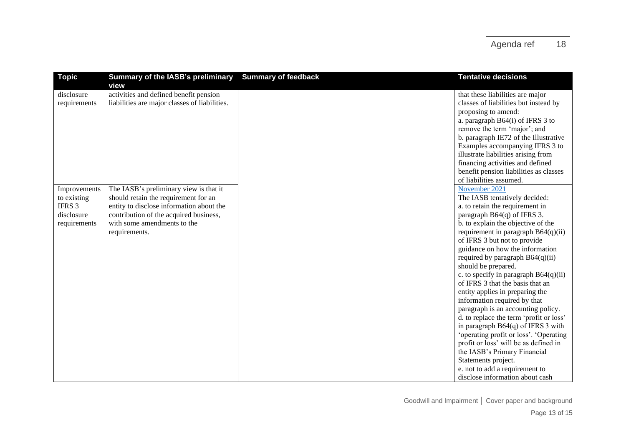| <b>Topic</b> | Summary of the IASB's preliminary             | <b>Summary of feedback</b> | <b>Tentative decisions</b>              |
|--------------|-----------------------------------------------|----------------------------|-----------------------------------------|
|              | view                                          |                            |                                         |
| disclosure   | activities and defined benefit pension        |                            | that these liabilities are major        |
| requirements | liabilities are major classes of liabilities. |                            | classes of liabilities but instead by   |
|              |                                               |                            | proposing to amend:                     |
|              |                                               |                            | a. paragraph B64(i) of IFRS 3 to        |
|              |                                               |                            | remove the term 'major'; and            |
|              |                                               |                            | b. paragraph IE72 of the Illustrative   |
|              |                                               |                            | Examples accompanying IFRS 3 to         |
|              |                                               |                            | illustrate liabilities arising from     |
|              |                                               |                            | financing activities and defined        |
|              |                                               |                            | benefit pension liabilities as classes  |
|              |                                               |                            | of liabilities assumed.                 |
| Improvements | The IASB's preliminary view is that it        |                            | November 2021                           |
| to existing  | should retain the requirement for an          |                            | The IASB tentatively decided:           |
| IFRS 3       | entity to disclose information about the      |                            | a. to retain the requirement in         |
| disclosure   | contribution of the acquired business,        |                            | paragraph B64(q) of IFRS 3.             |
| requirements | with some amendments to the                   |                            | b. to explain the objective of the      |
|              | requirements.                                 |                            | requirement in paragraph $B64(q)(ii)$   |
|              |                                               |                            | of IFRS 3 but not to provide            |
|              |                                               |                            | guidance on how the information         |
|              |                                               |                            | required by paragraph $B64(q)(ii)$      |
|              |                                               |                            | should be prepared.                     |
|              |                                               |                            | c. to specify in paragraph $B64(q)(ii)$ |
|              |                                               |                            | of IFRS 3 that the basis that an        |
|              |                                               |                            | entity applies in preparing the         |
|              |                                               |                            | information required by that            |
|              |                                               |                            | paragraph is an accounting policy.      |
|              |                                               |                            | d. to replace the term 'profit or loss' |
|              |                                               |                            | in paragraph $B64(q)$ of IFRS 3 with    |
|              |                                               |                            | 'operating profit or loss'. 'Operating  |
|              |                                               |                            | profit or loss' will be as defined in   |
|              |                                               |                            | the IASB's Primary Financial            |
|              |                                               |                            | Statements project.                     |
|              |                                               |                            | e. not to add a requirement to          |
|              |                                               |                            | disclose information about cash         |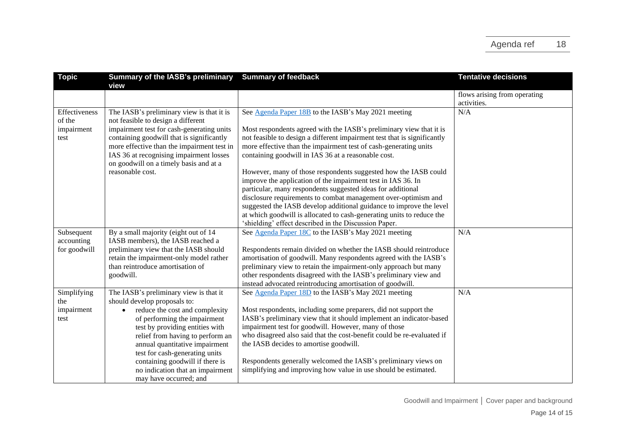| <b>Topic</b>                                  | <b>Summary of the IASB's preliminary</b><br>view                                                                                                                                                                                                                                                                                                                                                  | <b>Summary of feedback</b>                                                                                                                                                                                                                                                                                                                                                                                                                                                                                                                                                                                                                                                                                                                            | <b>Tentative decisions</b>                  |
|-----------------------------------------------|---------------------------------------------------------------------------------------------------------------------------------------------------------------------------------------------------------------------------------------------------------------------------------------------------------------------------------------------------------------------------------------------------|-------------------------------------------------------------------------------------------------------------------------------------------------------------------------------------------------------------------------------------------------------------------------------------------------------------------------------------------------------------------------------------------------------------------------------------------------------------------------------------------------------------------------------------------------------------------------------------------------------------------------------------------------------------------------------------------------------------------------------------------------------|---------------------------------------------|
|                                               |                                                                                                                                                                                                                                                                                                                                                                                                   |                                                                                                                                                                                                                                                                                                                                                                                                                                                                                                                                                                                                                                                                                                                                                       | flows arising from operating<br>activities. |
| Effectiveness<br>of the<br>impairment<br>test | The IASB's preliminary view is that it is<br>not feasible to design a different<br>impairment test for cash-generating units<br>containing goodwill that is significantly<br>more effective than the impairment test in<br>IAS 36 at recognising impairment losses<br>on goodwill on a timely basis and at a<br>reasonable cost.                                                                  | See Agenda Paper 18B to the IASB's May 2021 meeting<br>Most respondents agreed with the IASB's preliminary view that it is<br>not feasible to design a different impairment test that is significantly<br>more effective than the impairment test of cash-generating units<br>containing goodwill in IAS 36 at a reasonable cost.<br>However, many of those respondents suggested how the IASB could<br>improve the application of the impairment test in IAS 36. In<br>particular, many respondents suggested ideas for additional<br>disclosure requirements to combat management over-optimism and<br>suggested the IASB develop additional guidance to improve the level<br>at which goodwill is allocated to cash-generating units to reduce the | N/A                                         |
| Subsequent<br>accounting                      | By a small majority (eight out of 14<br>IASB members), the IASB reached a                                                                                                                                                                                                                                                                                                                         | 'shielding' effect described in the Discussion Paper.<br>See Agenda Paper 18C to the IASB's May 2021 meeting                                                                                                                                                                                                                                                                                                                                                                                                                                                                                                                                                                                                                                          | N/A                                         |
| for goodwill                                  | preliminary view that the IASB should<br>retain the impairment-only model rather<br>than reintroduce amortisation of<br>goodwill.                                                                                                                                                                                                                                                                 | Respondents remain divided on whether the IASB should reintroduce<br>amortisation of goodwill. Many respondents agreed with the IASB's<br>preliminary view to retain the impairment-only approach but many<br>other respondents disagreed with the IASB's preliminary view and<br>instead advocated reintroducing amortisation of goodwill.                                                                                                                                                                                                                                                                                                                                                                                                           |                                             |
| Simplifying<br>the<br>impairment<br>test      | The IASB's preliminary view is that it<br>should develop proposals to:<br>reduce the cost and complexity<br>$\bullet$<br>of performing the impairment<br>test by providing entities with<br>relief from having to perform an<br>annual quantitative impairment<br>test for cash-generating units<br>containing goodwill if there is<br>no indication that an impairment<br>may have occurred; and | See Agenda Paper 18D to the IASB's May 2021 meeting<br>Most respondents, including some preparers, did not support the<br>IASB's preliminary view that it should implement an indicator-based<br>impairment test for goodwill. However, many of those<br>who disagreed also said that the cost-benefit could be re-evaluated if<br>the IASB decides to amortise goodwill.<br>Respondents generally welcomed the IASB's preliminary views on<br>simplifying and improving how value in use should be estimated.                                                                                                                                                                                                                                        | N/A                                         |